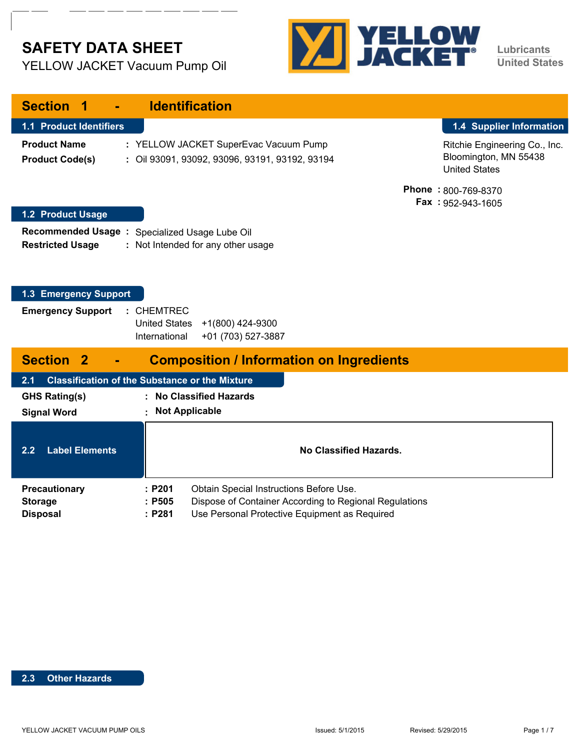# **SAFETY DATA SHEET**

YELLOW JACKET Vacuum Pump Oil



**Lubricants United States**

| <b>Section</b>                                       | <b>Identification</b>                                                                         |                                                                                |
|------------------------------------------------------|-----------------------------------------------------------------------------------------------|--------------------------------------------------------------------------------|
| 1.1 Product Identifiers                              |                                                                                               | 1.4 Supplier Information                                                       |
| <b>Product Name</b><br><b>Product Code(s)</b>        | : YELLOW JACKET SuperEvac Vacuum Pump<br>: Oil 93091, 93092, 93096, 93191, 93192, 93194       | Ritchie Engineering Co., Inc.<br>Bloomington, MN 55438<br><b>United States</b> |
| 1.2 Product Usage                                    |                                                                                               | Phone: 800-769-8370<br>Fax: 952-943-1605                                       |
| <b>Recommended Usage:</b><br><b>Restricted Usage</b> | Specialized Usage Lube Oil<br>: Not Intended for any other usage                              |                                                                                |
| 1.3 Emergency Support                                |                                                                                               |                                                                                |
| <b>Emergency Support</b>                             | : CHEMTREC<br><b>United States</b><br>+1(800) 424-9300<br>International<br>+01 (703) 527-3887 |                                                                                |
| <b>Section 2</b>                                     | <b>Composition / Information on Ingredients</b>                                               |                                                                                |
| 2.1                                                  | <b>Classification of the Substance or the Mixture</b>                                         |                                                                                |
| <b>GHS Rating(s)</b>                                 | <b>No Classified Hazards</b>                                                                  |                                                                                |
| <b>Signal Word</b>                                   | <b>Not Applicable</b>                                                                         |                                                                                |
| <b>Label Elements</b><br>$2.\overline{2}$            | <b>No Classified Hazards.</b>                                                                 |                                                                                |
| <b>Precautionary</b>                                 | : P201<br>Obtain Special Instructions Before Use.                                             |                                                                                |
| <b>Storage</b>                                       | : P505<br>Dispose of Container According to Regional Regulations                              |                                                                                |
| <b>Disposal</b>                                      | Use Personal Protective Equipment as Required<br>: P281                                       |                                                                                |

#### **2.3 Other Hazards**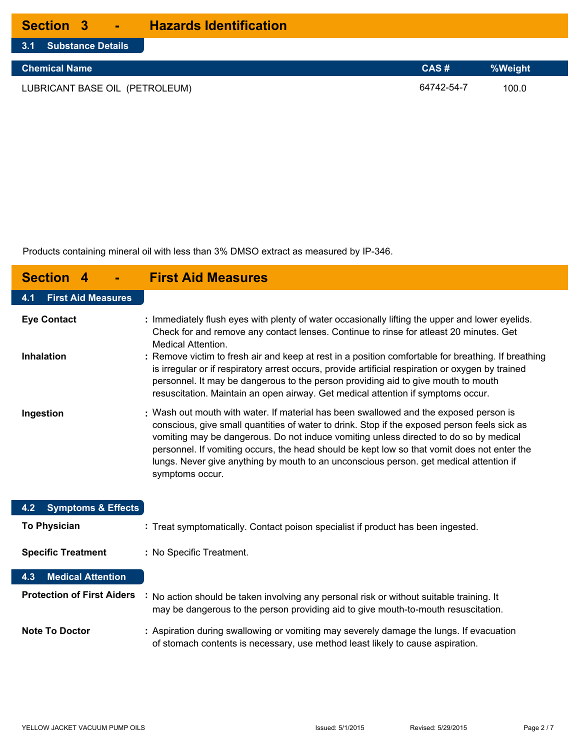| <b>Section 3</b>      | <b>Hazards Identification</b> |
|-----------------------|-------------------------------|
| 3.1 Substance Details |                               |

| Chemical Name                  | CAS#       | I%Weight \ |
|--------------------------------|------------|------------|
| LUBRICANT BASE OIL (PETROLEUM) | 64742-54-7 | 100.0      |

Products containing mineral oil with less than 3% DMSO extract as measured by IP-346.

| <b>Section</b><br>4                  | <b>First Aid Measures</b>                                                                                                                                                                                                                                                                                                                                                                                                                                                                  |
|--------------------------------------|--------------------------------------------------------------------------------------------------------------------------------------------------------------------------------------------------------------------------------------------------------------------------------------------------------------------------------------------------------------------------------------------------------------------------------------------------------------------------------------------|
| <b>First Aid Measures</b><br>4.1     |                                                                                                                                                                                                                                                                                                                                                                                                                                                                                            |
| <b>Eye Contact</b>                   | : Immediately flush eyes with plenty of water occasionally lifting the upper and lower eyelids.<br>Check for and remove any contact lenses. Continue to rinse for atleast 20 minutes. Get<br><b>Medical Attention.</b>                                                                                                                                                                                                                                                                     |
| <b>Inhalation</b>                    | : Remove victim to fresh air and keep at rest in a position comfortable for breathing. If breathing<br>is irregular or if respiratory arrest occurs, provide artificial respiration or oxygen by trained<br>personnel. It may be dangerous to the person providing aid to give mouth to mouth<br>resuscitation. Maintain an open airway. Get medical attention if symptoms occur.                                                                                                          |
| Ingestion                            | : Wash out mouth with water. If material has been swallowed and the exposed person is<br>conscious, give small quantities of water to drink. Stop if the exposed person feels sick as<br>vomiting may be dangerous. Do not induce vomiting unless directed to do so by medical<br>personnel. If vomiting occurs, the head should be kept low so that vomit does not enter the<br>lungs. Never give anything by mouth to an unconscious person, get medical attention if<br>symptoms occur. |
| <b>Symptoms &amp; Effects</b><br>4.2 |                                                                                                                                                                                                                                                                                                                                                                                                                                                                                            |
| <b>To Physician</b>                  | : Treat symptomatically. Contact poison specialist if product has been ingested.                                                                                                                                                                                                                                                                                                                                                                                                           |
| <b>Specific Treatment</b>            | : No Specific Treatment.                                                                                                                                                                                                                                                                                                                                                                                                                                                                   |
| <b>Medical Attention</b><br>4.3      |                                                                                                                                                                                                                                                                                                                                                                                                                                                                                            |
| <b>Protection of First Aiders</b>    | No action should be taken involving any personal risk or without suitable training. It<br>may be dangerous to the person providing aid to give mouth-to-mouth resuscitation.                                                                                                                                                                                                                                                                                                               |
| <b>Note To Doctor</b>                | : Aspiration during swallowing or vomiting may severely damage the lungs. If evacuation<br>of stomach contents is necessary, use method least likely to cause aspiration.                                                                                                                                                                                                                                                                                                                  |

L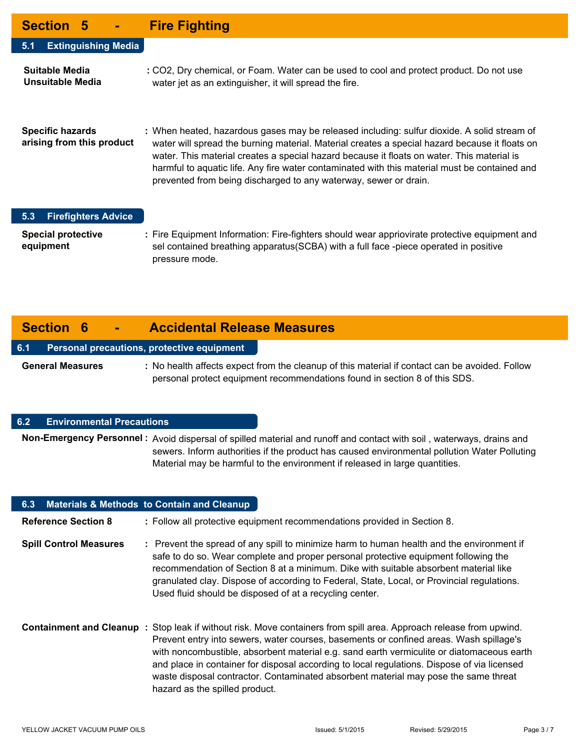| Section 5 -                                          | <b>Fire Fighting</b>                                                                                                                                                                                                                                                                                                                                                                                                                                             |
|------------------------------------------------------|------------------------------------------------------------------------------------------------------------------------------------------------------------------------------------------------------------------------------------------------------------------------------------------------------------------------------------------------------------------------------------------------------------------------------------------------------------------|
| <b>Extinguishing Media</b><br>5.1                    |                                                                                                                                                                                                                                                                                                                                                                                                                                                                  |
| Suitable Media<br>Unsuitable Media                   | : CO2, Dry chemical, or Foam. Water can be used to cool and protect product. Do not use<br>water jet as an extinguisher, it will spread the fire.                                                                                                                                                                                                                                                                                                                |
| <b>Specific hazards</b><br>arising from this product | : When heated, hazardous gases may be released including: sulfur dioxide. A solid stream of<br>water will spread the burning material. Material creates a special hazard because it floats on<br>water. This material creates a special hazard because it floats on water. This material is<br>harmful to aquatic life. Any fire water contaminated with this material must be contained and<br>prevented from being discharged to any waterway, sewer or drain. |

#### **5.3 Firefighters Advice**

**Special protective : equipment** Fire Equipment Information: Fire-fighters should wear appriovirate protective equipment and sel contained breathing apparatus(SCBA) with a full face -piece operated in positive pressure mode.

## **Section 6 - Accidental Release Measures**

#### **6.1 Personal precautions, protective equipment**

General Measures : No health affects expect from the cleanup of this material if contact can be avoided. Follow personal protect equipment recommendations found in section 8 of this SDS.

### **6.2 Environmental Precautions**

Non-Emergency Personnel: Avoid dispersal of spilled material and runoff and contact with soil, waterways, drains and sewers. Inform authorities if the product has caused environmental pollution Water Polluting Material may be harmful to the environment if released in large quantities.

| 6.3 Materials & Methods to Contain and Cleanup |                                                                                                                                                                                                                                                                                                                                                                                                                                                                                                                                    |
|------------------------------------------------|------------------------------------------------------------------------------------------------------------------------------------------------------------------------------------------------------------------------------------------------------------------------------------------------------------------------------------------------------------------------------------------------------------------------------------------------------------------------------------------------------------------------------------|
| <b>Reference Section 8</b>                     | : Follow all protective equipment recommendations provided in Section 8.                                                                                                                                                                                                                                                                                                                                                                                                                                                           |
| <b>Spill Control Measures</b>                  | : Prevent the spread of any spill to minimize harm to human health and the environment if<br>safe to do so. Wear complete and proper personal protective equipment following the<br>recommendation of Section 8 at a minimum. Dike with suitable absorbent material like<br>granulated clay. Dispose of according to Federal, State, Local, or Provincial regulations.<br>Used fluid should be disposed of at a recycling center.                                                                                                  |
|                                                | Containment and Cleanup : Stop leak if without risk. Move containers from spill area. Approach release from upwind.<br>Prevent entry into sewers, water courses, basements or confined areas. Wash spillage's<br>with noncombustible, absorbent material e.g. sand earth vermiculite or diatomaceous earth<br>and place in container for disposal according to local regulations. Dispose of via licensed<br>waste disposal contractor. Contaminated absorbent material may pose the same threat<br>hazard as the spilled product. |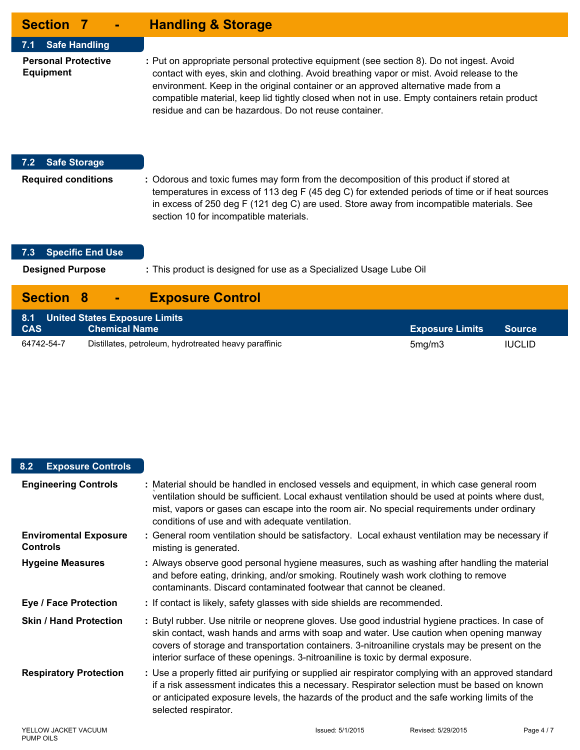| <b>Section 7</b><br>$\blacksquare$             | <b>Handling &amp; Storage</b>                                                                                                                                                                                                                                                                                                                                                                                                         |
|------------------------------------------------|---------------------------------------------------------------------------------------------------------------------------------------------------------------------------------------------------------------------------------------------------------------------------------------------------------------------------------------------------------------------------------------------------------------------------------------|
| <b>Safe Handling</b><br>$7.1 -$                |                                                                                                                                                                                                                                                                                                                                                                                                                                       |
| <b>Personal Protective</b><br><b>Equipment</b> | : Put on appropriate personal protective equipment (see section 8). Do not ingest. Avoid<br>contact with eyes, skin and clothing. Avoid breathing vapor or mist. Avoid release to the<br>environment. Keep in the original container or an approved alternative made from a<br>compatible material, keep lid tightly closed when not in use. Empty containers retain product<br>residue and can be hazardous. Do not reuse container. |
| <b>Safe Storage</b><br>7.2                     |                                                                                                                                                                                                                                                                                                                                                                                                                                       |
| <b>Required conditions</b>                     | : Odorous and toxic fumes may form from the decomposition of this product if stored at<br>temperatures in excess of 113 deg F (45 deg C) for extended periods of time or if heat sources<br>in excess of 250 deg F (121 deg C) are used. Store away from incompatible materials. See<br>section 10 for incompatible materials.                                                                                                        |
| <b>Specific End Use</b><br>7.3                 |                                                                                                                                                                                                                                                                                                                                                                                                                                       |
| <b>Designed Purpose</b>                        | : This product is designed for use as a Specialized Usage Lube Oil                                                                                                                                                                                                                                                                                                                                                                    |
| <b>Section</b>                                 | <b>Exposure Control</b>                                                                                                                                                                                                                                                                                                                                                                                                               |

| 8.1 United States Exposure Limits |                                                       |                        |               |
|-----------------------------------|-------------------------------------------------------|------------------------|---------------|
| <b>CAS</b>                        | <b>Chemical Name</b>                                  | <b>Exposure Limits</b> | Source        |
| 64742-54-7                        | Distillates, petroleum, hydrotreated heavy paraffinic | 5mg/m3                 | <b>IUCLID</b> |

### **8.2 Exposure Controls**

| <b>Engineering Controls</b>                     | : Material should be handled in enclosed vessels and equipment, in which case general room<br>ventilation should be sufficient. Local exhaust ventilation should be used at points where dust,<br>mist, vapors or gases can escape into the room air. No special requirements under ordinary<br>conditions of use and with adequate ventilation.                                 |                  |                    |          |
|-------------------------------------------------|----------------------------------------------------------------------------------------------------------------------------------------------------------------------------------------------------------------------------------------------------------------------------------------------------------------------------------------------------------------------------------|------------------|--------------------|----------|
| <b>Enviromental Exposure</b><br><b>Controls</b> | : General room ventilation should be satisfactory. Local exhaust ventilation may be necessary if<br>misting is generated.                                                                                                                                                                                                                                                        |                  |                    |          |
| <b>Hygeine Measures</b>                         | : Always observe good personal hygiene measures, such as washing after handling the material<br>and before eating, drinking, and/or smoking. Routinely wash work clothing to remove<br>contaminants. Discard contaminated footwear that cannot be cleaned.                                                                                                                       |                  |                    |          |
| <b>Eye / Face Protection</b>                    | : If contact is likely, safety glasses with side shields are recommended.                                                                                                                                                                                                                                                                                                        |                  |                    |          |
| <b>Skin / Hand Protection</b>                   | : Butyl rubber. Use nitrile or neoprene gloves. Use good industrial hygiene practices. In case of<br>skin contact, wash hands and arms with soap and water. Use caution when opening manway<br>covers of storage and transportation containers. 3-nitroaniline crystals may be present on the<br>interior surface of these openings. 3-nitroaniline is toxic by dermal exposure. |                  |                    |          |
| <b>Respiratory Protection</b>                   | : Use a properly fitted air purifying or supplied air respirator complying with an approved standard<br>if a risk assessment indicates this a necessary. Respirator selection must be based on known<br>or anticipated exposure levels, the hazards of the product and the safe working limits of the<br>selected respirator.                                                    |                  |                    |          |
| YELLOW JACKET VACUUM                            |                                                                                                                                                                                                                                                                                                                                                                                  | Issued: 5/1/2015 | Revised: 5/29/2015 | Page 4/7 |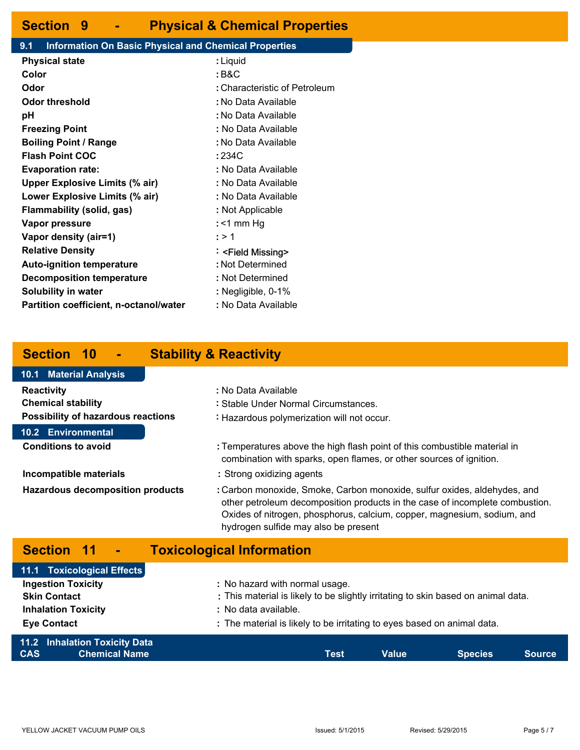### **Section 9 - Physical & Chemical Properties**

#### **9.1 Information On Basic Physical and Chemical Properties**

| <b>Physical state</b>                         | : Liquid                      |
|-----------------------------------------------|-------------------------------|
| Color                                         | : B&C                         |
| Odor                                          | : Characteristic of Petroleum |
| Odor threshold                                | : No Data Available           |
| рH                                            | : No Data Available           |
| <b>Freezing Point</b>                         | : No Data Available           |
| <b>Boiling Point / Range</b>                  | : No Data Available           |
| <b>Flash Point COC</b>                        | : 234C                        |
| <b>Evaporation rate:</b>                      | : No Data Available           |
| <b>Upper Explosive Limits (% air)</b>         | : No Data Available           |
| Lower Explosive Limits (% air)                | : No Data Available           |
| Flammability (solid, gas)                     | : Not Applicable              |
| Vapor pressure                                | : <1 mm Hg                    |
| Vapor density (air=1)                         | : > 1                         |
| <b>Relative Density</b>                       | : <field missing=""></field>  |
| <b>Auto-ignition temperature</b>              | : Not Determined              |
| <b>Decomposition temperature</b>              | : Not Determined              |
| <b>Solubility in water</b>                    | : Negligible, 0-1%            |
| <b>Partition coefficient, n-octanol/water</b> | : No Data Available           |
|                                               |                               |

### **Section 10 - Stability & Reactivity**

#### **Section 11 - Toxicological Information Reactivity : Chemical stability : Possibility of hazardous reactions :** : No Data Available Stable Under Normal Circumstances. : Hazardous polymerization will not occur. Temperatures above the high flash point of this combustible material in combination with sparks, open flames, or other sources of ignition. **Incompatible materials : Hazardous decomposition products :** Strong oxidizing agents Carbon monoxide, Smoke, Carbon monoxide, sulfur oxides, aldehydes, and other petroleum decomposition products in the case of incomplete combustion. Oxides of nitrogen, phosphorus, calcium, copper, magnesium, sodium, and hydrogen sulfide may also be present **Conditions to avoid : 10.1 Material Analysis 10.2 Environmental**

| 11.2 Inhalation Toxicity Data<br><b>Chemical Name</b><br><b>CAS</b> | Test                                                                              | Value | <b>Species</b> | <b>Source</b> |
|---------------------------------------------------------------------|-----------------------------------------------------------------------------------|-------|----------------|---------------|
| <b>Eye Contact</b>                                                  | : The material is likely to be irritating to eyes based on animal data.           |       |                |               |
| <b>Inhalation Toxicity</b>                                          | : No data available.                                                              |       |                |               |
| <b>Skin Contact</b>                                                 | : This material is likely to be slightly irritating to skin based on animal data. |       |                |               |
| <b>Ingestion Toxicity</b>                                           | : No hazard with normal usage.                                                    |       |                |               |
| 11.1 Toxicological Effects                                          |                                                                                   |       |                |               |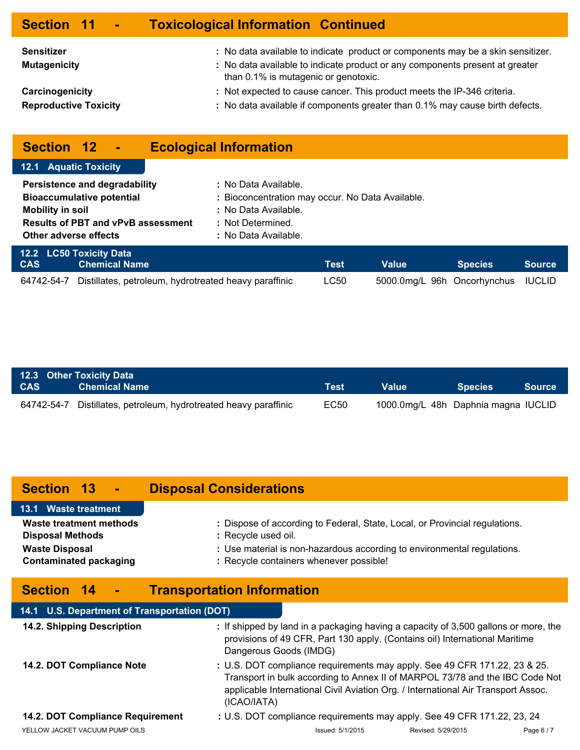| Section 11 -                             | <b>Toxicological Information Continued</b>                                                                                                                                                              |
|------------------------------------------|---------------------------------------------------------------------------------------------------------------------------------------------------------------------------------------------------------|
| <b>Sensitizer</b><br><b>Mutagenicity</b> | : No data available to indicate product or components may be a skin sensitizer.<br>: No data available to indicate product or any components present at greater<br>than 0.1% is mutagenic or genotoxic. |
| Carcinogenicity                          | : Not expected to cause cancer. This product meets the IP-346 criteria.                                                                                                                                 |
| <b>Reproductive Toxicity</b>             | : No data available if components greater than 0.1% may cause birth defects.                                                                                                                            |

## **Section 12 - Ecological Information**

| <b>12.1 Aquatic Toxicity</b>                                                                                                                                       |                                                       |                                                                                                                                               |             |                             |                |               |  |
|--------------------------------------------------------------------------------------------------------------------------------------------------------------------|-------------------------------------------------------|-----------------------------------------------------------------------------------------------------------------------------------------------|-------------|-----------------------------|----------------|---------------|--|
| Persistence and degradability<br><b>Bioaccumulative potential</b><br><b>Mobility in soil</b><br><b>Results of PBT and vPvB assessment</b><br>Other adverse effects |                                                       | : No Data Available.<br>: Bioconcentration may occur. No Data Available.<br>: No Data Available.<br>: Not Determined.<br>: No Data Available. |             |                             |                |               |  |
| <b>CAS</b>                                                                                                                                                         | 12.2 LC50 Toxicity Data<br><b>Chemical Name</b>       |                                                                                                                                               | <b>Test</b> | <b>Value</b>                | <b>Species</b> | <b>Source</b> |  |
| 64742-54-7                                                                                                                                                         | Distillates, petroleum, hydrotreated heavy paraffinic |                                                                                                                                               | LC50        | 5000.0mg/L 96h Oncorhynchus |                | <b>IUCLID</b> |  |

| <b>CAS</b> | 12.3 Other Toxicity Data<br><b>Chemical Name</b>                 | Test | Value' | <b>Species</b>                      | <b>Source</b> |
|------------|------------------------------------------------------------------|------|--------|-------------------------------------|---------------|
|            | 64742-54-7 Distillates, petroleum, hydrotreated heavy paraffinic | EC50 |        | 1000.0mg/L 48h Daphnia magna IUCLID |               |

## **Section 13 - Disposal Considerations**

| 13.1 Waste treatment          |                                                                             |
|-------------------------------|-----------------------------------------------------------------------------|
| Waste treatment methods       | : Dispose of according to Federal, State, Local, or Provincial regulations. |
| <b>Disposal Methods</b>       | : Recycle used oil.                                                         |
| <b>Waste Disposal</b>         | : Use material is non-hazardous according to environmental regulations.     |
| <b>Contaminated packaging</b> | : Recycle containers whenever possible!                                     |

## **Section 14 - Transportation Information**

| 14.1 U.S. Department of Transportation (DOT) |                        |                                                                                                                                                                                                                                                |                    |          |
|----------------------------------------------|------------------------|------------------------------------------------------------------------------------------------------------------------------------------------------------------------------------------------------------------------------------------------|--------------------|----------|
| 14.2. Shipping Description                   | Dangerous Goods (IMDG) | : If shipped by land in a packaging having a capacity of 3,500 gallons or more, the<br>provisions of 49 CFR, Part 130 apply. (Contains oil) International Maritime                                                                             |                    |          |
| 14.2. DOT Compliance Note                    | (ICAO/IATA)            | : U.S. DOT compliance requirements may apply. See 49 CFR 171.22, 23 & 25.<br>Transport in bulk according to Annex II of MARPOL 73/78 and the IBC Code Not<br>applicable International Civil Aviation Org. / International Air Transport Assoc. |                    |          |
| 14.2. DOT Compliance Requirement             |                        | : U.S. DOT compliance requirements may apply. See 49 CFR 171.22, 23, 24                                                                                                                                                                        |                    |          |
| YELLOW JACKET VACUUM PUMP OILS               |                        | Issued: 5/1/2015                                                                                                                                                                                                                               | Revised: 5/29/2015 | Page 6/7 |